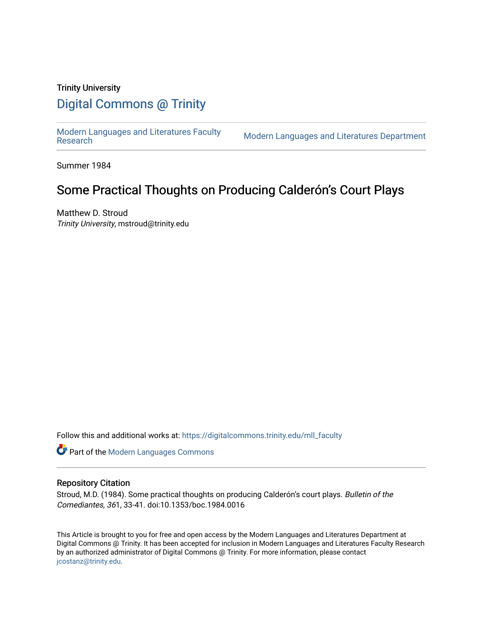### Trinity University

# [Digital Commons @ Trinity](https://digitalcommons.trinity.edu/)

[Modern Languages and Literatures Faculty](https://digitalcommons.trinity.edu/mll_faculty)

Modern Languages and Literatures Department

Summer 1984

## Some Practical Thoughts on Producing Calderón's Court Plays

Matthew D. Stroud Trinity University, mstroud@trinity.edu

Follow this and additional works at: [https://digitalcommons.trinity.edu/mll\\_faculty](https://digitalcommons.trinity.edu/mll_faculty?utm_source=digitalcommons.trinity.edu%2Fmll_faculty%2F51&utm_medium=PDF&utm_campaign=PDFCoverPages) 

Part of the [Modern Languages Commons](http://network.bepress.com/hgg/discipline/1130?utm_source=digitalcommons.trinity.edu%2Fmll_faculty%2F51&utm_medium=PDF&utm_campaign=PDFCoverPages) 

### Repository Citation

Stroud, M.D. (1984). Some practical thoughts on producing Calderón's court plays. Bulletin of the Comediantes, 361, 33-41. doi:10.1353/boc.1984.0016

This Article is brought to you for free and open access by the Modern Languages and Literatures Department at Digital Commons @ Trinity. It has been accepted for inclusion in Modern Languages and Literatures Faculty Research by an authorized administrator of Digital Commons @ Trinity. For more information, please contact [jcostanz@trinity.edu](mailto:jcostanz@trinity.edu).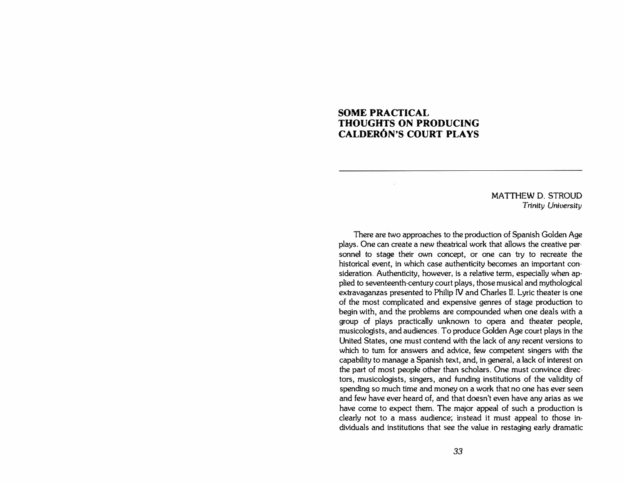## SOME PRACTICAL THOUGHTS ON PRODUCING CALDERÓN'S COURT PLAYS

MATTHEW D. STROUD Trinity University

There are two approaches to the production of Spanish Golden Age plays. One can create a new theatrical work that allows the creative personnel to stage their own concept, or one can try to recreate the historical event, in which case authenticity becomes an important consideration. Authenticity, however, is a relative term, especially when applied to seventeenth-century court plays, those musical and mythological extravaganzas presented to Philip IV and Charles II. Lyric theater is one of the most complicated and expensive genres of stage production to begin with, and the problems are compounded when one deals with a group of plays practically unknown to opera and theater people, musicologists, and audiences. To produce Golden Age court plays in the United States, one must contend with the lack of any recent versions to which to tum for answers and advice, few competent singers with the capability to manage a Spanish text, and, in general, a lack of interest on the part of most people other than scholars. One must convince directors, musicologists, singers, and funding institutions of the validity of spending so much time and money on a work that no one has ever seen and few have ever heard of, and that doesn't even have any arias as we have come to expect them. The major appeal of such a production is clearly not to a mass audience; instead it must appeal to those individuals and institutions that see the value in restaging early dramatic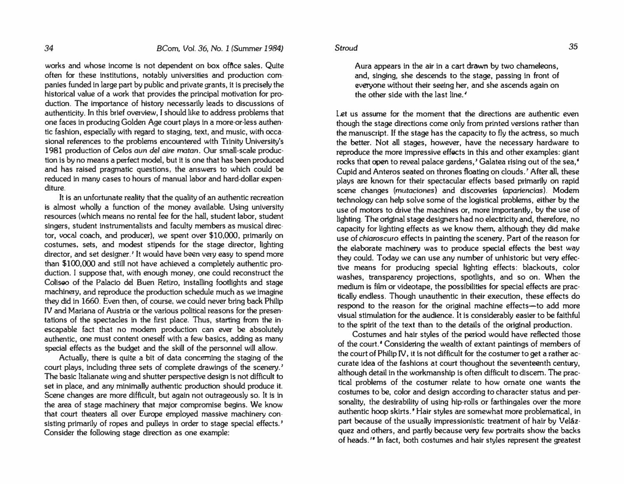works and whose income is not dependent on box office sales. Quite often for these institutions, notably universities and production companies funded in large part by public and private grants, It is precisely the historical value of a work that provides the principal motivation for production. The importance of history necessarily leads to discussions of authenticity. In this brief overview, I should like to address problems that one faces in producing Golden Age court plays in a more-or-less authen· tic fashion, especially with regard to staging, text, and music, with occasional references to the problems encountered with Trinity University's 1981 production of Celos aun del aire matan. Our small-scale production is by no means a perfect model, but it is one that has been produced and has raised pragmatic questions, the answers to which could be reduced in many cases to hours of manual labor and hard-dollar expenditure.

It is an unfortunate reality that the quality of an authentic recreation is almost wholly a function of the money available. Using university resources (which means no rental fee for the hall, student labor, student singers, student instrumentalists and faculty members as musical director, vocal coach, and producer), we spent over \$10,000, primarily on costumes, sets, and modest stipends for the stage director, lighting director, and set designer.' It would have been very easy to spend more than \$100,000 and still not have achieved a completely authentic pro· duction. I suppose that, with enough money, one could reconstruct the Coliseo of the Palacio del Buen Retiro, installing footlights and stage machinery, and reproduce the production schedule much as we imagine they did in 1660. Even then, of course, we could never bring back Philip IV and Mariana of Austria or the various political reasons for the presentations of the spectacles in the first place. Thus, starting from the in· escapable fact that no modem production can ever be absolutely authentic, one must content oneself with a few basics, adding as many special effects as the budget and the skill of the personnel will allow.

Actually, there is quite a bit of data concerning the staging of the court plays, including three sets of complete drawings of the scenery.' The basic Italianate wing and shutter perspective design is not difficult to set in place, and any minimally authentic production should produce it. Scene changes are more difficult, but again not outrageously so. It is in the area of stage machinery that major compromise begins. We know that court theaters all over Europe employed massive machinery consisting primarily of ropes and pulleys in order to stage special effects.' Consider the following stage direction as one example:

#### **Stroud**

Aura appears in the air in a cart drawn by two chameleons, and, singing, she descends to the stage, passing In front of everyone without their seeing her, and she ascends again on the other side with the last line.'

Let us assume for the moment that the directions are authentic even though the stage directions come only from printed versions rather than the manuscript. If the stage has the capacity to fly the actress, so much the better. Not all stages, however, have the necessary hardware to reproduce the more impressive effects in this and other examples: giant rocks that open to reveal palace gardens,' Galatea rising out of the sea,' Cupid and Anteros seated on thrones floating on clouds. 7 After all, these plays are known for their spectacular effects based primarily on rapid scene changes (mutaciones) and discoveries (apartencias). Modem technology can help solve some of the logistical problems, either by the use of motors to drive the machines or, more Importantly, by the use of lighting. The original stage designers had no electricity and, therefore, no capacity for lighting effects as we know them, although they did make use of chiaroscuro effects In painting the scenery. Part of the reason for the elaborate machinery was to produce special effects the best way they could. Today we can use any number of unhistoric but very effective means for producing special lighting effects: blackouts, color washes, transparency projections, spotlights, and so on. When the medium is film or videotape, the possibilities for special effects are practically endless. Though unauthentic in their execution, these effects do respond to the reason for the original machine effects-to add more visual stimulation for the audience. It Is considerably easier to be faithful to the spirit of the text than to the details of the original production.

Costumes and hair styles of the period would have reflected those of the court.• Considering the wealth of extant paintings of members of the court of Philip IV, it is not difficult for the costumer to get a rather accurate idea of the fashions at court thoughout the seventeenth century, although detail in the workmanship is often difficult to discern. The practical problems of the costumer relate to how ornate one wants the costumes to be, color and design according to character status and personality, the desirability of using hip-rolls or farthingales over the more authentic hoop skirts.' Hair styles are somewhat more problematical, in part because of the usually impressionistic treatment of hair by Velázquez and others, and partly because very few portraits show the backs of heads." In fact, both costumes and hair styles represent the greatest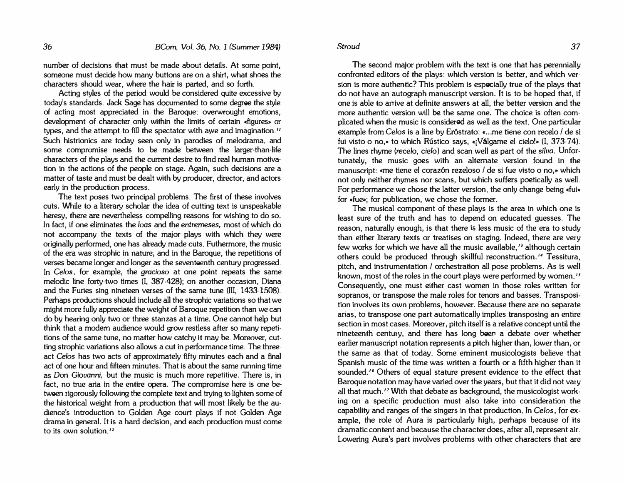number of decisions that must be made about details. At some point, someone must decide how many buttons are on a shirt, what shoes the characters should wear, where the hair is parted, and so forth.

Acting styles of the period would be considered quite excessive by today's standards. Jack Sage has documented to some degree the style of acting most appreciated in the Baroque: overwrought emotions, development of character only within the limits of certain «figures• or types, and the attempt to fill the spectator with awe and imagination.<sup>11</sup> Such histrionics are today seen only in parodies of melodrama, and some compromise needs to be made between the larger-than-life characters of the plays and the current desire to find real human motivation in the actions of the people on stage. Again, such decisions are a matter of taste and must be dealt with by producer, director, and actors early in the production process.

The text poses two principal problems. The first of these involves cuts. While to a literary scholar the idea of cutting text is unspeakable heresy, there are nevertheless compelling reasons for wishing to do so. In fact, if one eliminates the loas and the entremeses, most of which do not accompany the texts of the major plays with which they were originally performed, one has already made cuts. Futhermore, the music of the era was strophic in nature, and in the Baroque, the repetitions of verses became longer and longer as the seventeenth century progressed. In Celos, for example, the gracioso at one point repeats the same melodic line forty-two times (I, 387-428); on another occasion, Diana and the Furies sing nineteen verses of the same tune (III, 1433-1508). Perhaps productions should include all the strophic variations so that we might more fully appreciate the weight of Baroque repetition than we can do by hearing only two or three stanzas at a time. One cannot help but think that a modern audience would grow restless after so many repetitions of the same tune, no matter how catchy it may be. Moreover, cutting strophic variations also allows a cut in performance time. The threeact Celos has two acts of approximately fifty minutes each and a final act of one hour and fifteen minutes. That is about the same running time as Don Giovanni, but the music is much more repetitive. There is, in fact, no true aria in the entire opera. The compromise here is one between rigorously following the complete text and trying to lighten some of the historical weight from a production that will most likely be the audience's introduction to Golden Age court plays if not Golden Age drama in general. It is a hard decision, and each production must come to its own solution.<sup>12</sup>

#### Stroud 37

The second major problem with the text is one that has perennially confronted editors of the plays: which version is better, and which version is more authentic? This problem is especially true of the plays that do not have an autograph manuscript version. It is to be hoped that, if one is able to arrive at definite answers at all, the better version and the more authentic version wlll be the same one. The choice is often complicated when the music Is considered as well as the text. One particular example from Celos is a line by Eróstrato: «... me tiene con recelo / de si fui visto o no,» to which Rústico says, «¡Válgame el cielo!» (I, 373-74). The lines rhyme (recelo, cielo) and scan well as part of the silva. Unfortunately, the music goes with an alternate version found in the manuscript: «me tiene el coraz6n rezeloso I de si fue visto o no,• which not only neither rhymes nor scans, but which suffers poetically as well. For performance we chose the latter version, the only change being «fui» for «fue»; for publication, we chose the former.

The musical component of these plays is the area in which one is least sure of the truth and has to depend on educated guesses. The reason, naturally enough, is that there is less music of the era to study than either literary texts or treatises on staging. Indeed, there are very few works for which we have all the music available,<sup>13</sup> although certain others could be produced through skillful reconstruction.<sup>14</sup> Tessitura, pitch, and instrumentation / orchestration all pose problems. As is well known, most of the roles in the court plays were performed by women.<sup>15</sup> Consequently, one must either cast women in those roles written for sopranos, or transpose the male roles for tenors and basses. Transposition involves its own problems, however. Because there are no separate arias, to transpose one part automatically Implies transposing an entire section in most cases. Moreover, pitch itself is a relative concept until the nineteenth century, and there has long been a debate over whether earlier manuscript notation represents a pitch higher than, lower than, or the same as that of today. Some eminent musicologists believe that Spanish music of the time was written a fourth or a fifth higher than it sounded.<sup>16</sup> Others of equal stature present evidence to the effect that Baroque notation may have varied over the years, but that it did not vary all that much.<sup>17</sup> With that debate as background, the musicologist working on a specific production must also take Into consideration the capability and ranges of the singers in that production. In Celos, for example, the role of Aura is particularly high, perhaps because of its dramatic content and because the character does, after all, represent air. Lowering Aura's part involves problems with other characters that are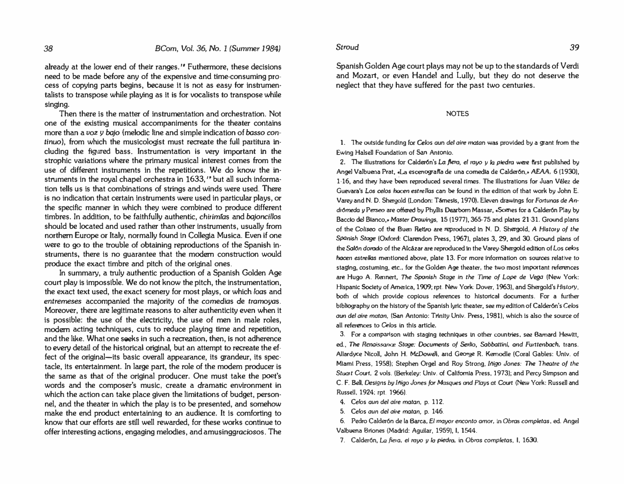already at the lower end of their ranges." Futhermore, these decisions need to be made before any of the expensive and time-consuming process of copying parts begins, because It is not as easy for instrumentalists to transpose while playing as it is for vocalists to transpose while singing.

Then there is the matter of instrumentation and orchestration. Not one of the existing musical accompaniments for the theater contains more than a voz y bajo (melodic line and simple indication of basso continuo), from which the musicologist must recreate the full partitura including the figured bass. Instrumentation is very Important in the strophic variations where the primary musical interest comes from the use of different instruments in the repetitions. We do know the instruments in the royal chapel orchestra in 1633," but all such information tells us is that combinations of strings and winds were used. There is no indication that certain Instruments were used in particular plays, or the specific manner in which they were combined to produce different timbres. In addition, to be faithfully authentic, chirimfas and bajoncillos should be located and used rather than other instruments, usually from northern Europe or Italy, normally found in Collegia Musica. Even if one were to go to the trouble of obtaining reproductions of the Spanish instruments, there is no guarantee that the modern construction would produce the exact timbre and pitch of the original ones.

In summary, a truly authentic production of a Spanish Golden Age court play is impossible. We do not know the pitch, the instrumentation, the exact text used, the exact scenery for most plays, or which /oas and entremeses accompanied the majority of the comedias de tramoyas. Moreover, there are legitimate reasons to alter authenticity even when it is possible: the use of the electricity, the use of men in male roles, modern acting techniques, cuts to reduce playing time and repetition, and the like. What one seeks in such a recreation, then, is not adherence to every detail of the historical original, but an attempt to recreate the effect of the original-its basic overall appearance, its grandeur, its spectacle, Its entertainment. In large part, the role of the modem producer is the same as that of the original producer. One must take the poet's words and the composer's music, create a dramatic environment in which the action can take place given the limitations of budget, personnel, and the theater in which the play is to be presented, and somehow make the end product entertaining to an audience. It Is comforting to know that our efforts are still well rewarded, for these works continue to offer interesting actions, engaging melodies, and amusinggraciosos. The

#### Stroud 39

Spanish Golden Age court plays may not be up to the standards of Verdi and Mozart, or even Handel and Lully, but they do not deserve the neglect that they have suffered for the past two centuries.

#### NOTES

1. The outside funding for Celos qun del gire matan was provided by a grant from the Ewing Halsell Foundation of San Antonio.

2. The illustrations for Calderón's La fiera, el rayo  $y$  la piedra were first published by Angel Valbuena Prat, �La escenograffa de una comedla de Calderon,• AEAA, 6 (1930), 1-16, and they have been reproduced several times. The Illustrations for Juan V�ez de Guevara's Los celos hacen estrellos can be found in the edition of that work by John E. Varey and N. D. Shergold (London: T6mesls, 1970). Eleven drawings for Fortunos de Andr6medo y Perseo are offered by Phyllis Dearborn Massar, •Scenes for a Calder6n Play by Bacclo del Blanco,» Master Drawings, 15 (1977), 365-75 and plates 21-31. Ground plans of the Co/iseo of the Buen Retlro are reproduced in N. D. Shergold, A History of the Spanish Stage (Oxford: Clarendon Press, 1967), plates 3, 29, and 30. Ground plans of the Salon dorado of the Alcázar are reproduced in the Varey-Shergold edition of Los celos hocen estrellos mentioned above, plate 13. For more information on sources relative to staging, costuming, etc., for the Golden Age theater, the two most important references are Hugo A. Rennert, The Spanish Stage in the Time of Lope de Vega (New York: Hispanic Society of America, 1909; rpt. New York: Dover, 1963), and Shergold's History, both of which provide copious references to historical documents. For a further bibliography on the history of the Spanish lyric theater, see my edition of Calder6n's Celos oun de/ oire maton, (San Antonio: Trinity Univ. Press, 1981), which Is also the source of all references to Celos in this article.

3. For a comparison with staging techniques In other countries, see Barnard Hewitt, ed., The Renaissance Stage: Documents of Serlio, Sobbattinl, and Furttenbach, trans. Allardyce Nicoll, John H. McDowell, and George R. Kernodle (Coral Gables: Univ. of Miami Press, 1958); Stephen Orgel and Roy Strong, lfligo Jones: The Theatre of the Stuart Court, 2 vols. (Berkeley: Univ. of California Press, 1973); and Percy Simpson and C. F. Bell, Designs by lfligo Jones for Mosques and Plays at Court (New York: Russell and Russell, 1924; rpt. 1966).

- 4. Celos oun de/ olre matan, p. 112.
- 5. Celos oun de/ oire matan, p. 146.

6. Pedro Calderón de la Barca, El mayor enconto amor, in Obras completas, ed. Angel Valbuena Briones (Madrid: Aguilar, 1959), I. 1544.

1. Calder6n, Lo fiero. el royo y lo pledro, in Obros comp/etas, I, 1630.